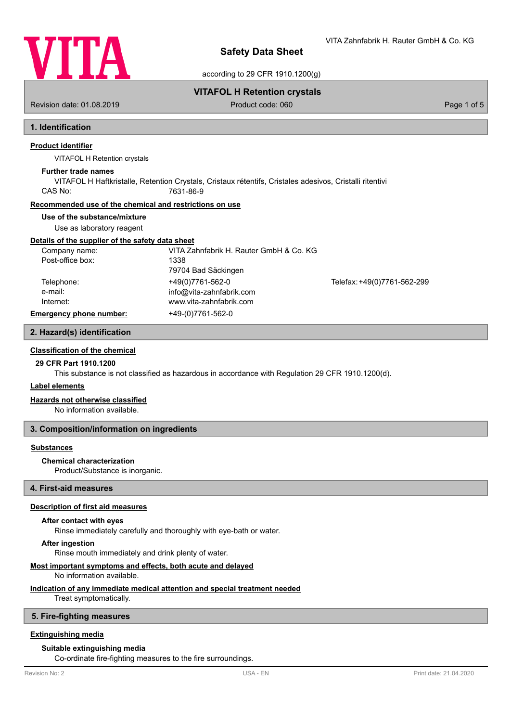

VITA Zahnfabrik H. Rauter GmbH & Co. KG

according to 29 CFR 1910.1200(g)

Revision date: 01.08.2019 **Product code: 060** Product code: 060 **Page 1 of 5** Page 1 of 5

**VITAFOL H Retention crystals**

# **1. Identification**

### **Product identifier**

VITAFOL H Retention crystals

#### **Further trade names**

VITAFOL H Haftkristalle, Retention Crystals, Cristaux rétentifs, Cristales adesivos, Cristalli ritentivi CAS No: 7631-86-9

### **Recommended use of the chemical and restrictions on use**

#### **Use of the substance/mixture**

Use as laboratory reagent

#### **Details of the supplier of the safety data sheet**

| Company name:                  | VITA Zahnfabrik H. Rauter GmbH & Co. KG |                             |
|--------------------------------|-----------------------------------------|-----------------------------|
| Post-office box:               | 1338                                    |                             |
|                                | 79704 Bad Säckingen                     |                             |
| Telephone:                     | +49(0)7761-562-0                        | Telefax: +49(0)7761-562-299 |
| e-mail:                        | info@vita-zahnfabrik.com                |                             |
| Internet:                      | www.vita-zahnfabrik.com                 |                             |
| <b>Emergency phone number:</b> | +49-(0)7761-562-0                       |                             |

# **2. Hazard(s) identification**

**Classification of the chemical**

## **29 CFR Part 1910.1200**

This substance is not classified as hazardous in accordance with Regulation 29 CFR 1910.1200(d).

### **Label elements**

#### **Hazards not otherwise classified**

No information available.

### **3. Composition/information on ingredients**

#### **Substances**

### **Chemical characterization**

Product/Substance is inorganic.

### **4. First-aid measures**

### **Description of first aid measures**

### **After contact with eyes**

Rinse immediately carefully and thoroughly with eye-bath or water.

#### **After ingestion**

Rinse mouth immediately and drink plenty of water.

### **Most important symptoms and effects, both acute and delayed**

No information available.

### **Indication of any immediate medical attention and special treatment needed**

Treat symptomatically.

#### **5. Fire-fighting measures**

### **Extinguishing media**

#### **Suitable extinguishing media**

Co-ordinate fire-fighting measures to the fire surroundings.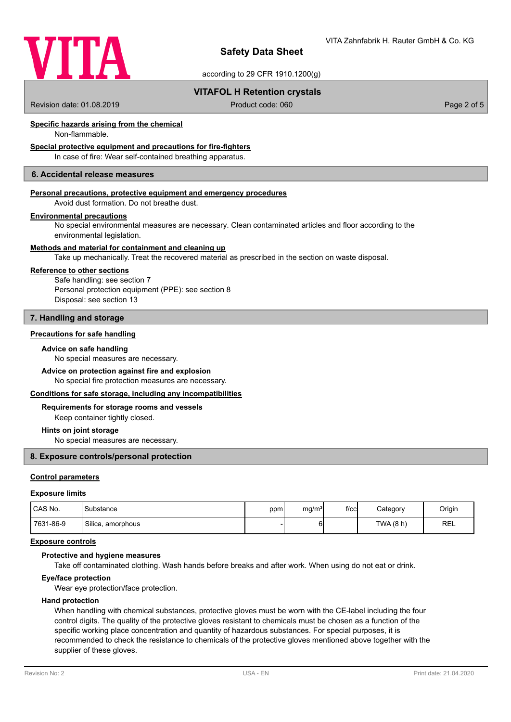

according to 29 CFR 1910.1200(g)

### **VITAFOL H Retention crystals**

Revision date: 01.08.2019 **Product code: 060** Product code: 060 **Page 2 of 5** Page 2 of 5

### **Specific hazards arising from the chemical**

Non-flammable.

## **Special protective equipment and precautions for fire-fighters**

In case of fire: Wear self-contained breathing apparatus.

### **6. Accidental release measures**

#### **Personal precautions, protective equipment and emergency procedures**

Avoid dust formation. Do not breathe dust.

### **Environmental precautions**

No special environmental measures are necessary. Clean contaminated articles and floor according to the environmental legislation.

### **Methods and material for containment and cleaning up**

Take up mechanically. Treat the recovered material as prescribed in the section on waste disposal.

#### **Reference to other sections**

Safe handling: see section 7 Personal protection equipment (PPE): see section 8 Disposal: see section 13

### **7. Handling and storage**

### **Precautions for safe handling**

#### **Advice on safe handling**

No special measures are necessary.

# **Advice on protection against fire and explosion**

No special fire protection measures are necessary.

### **Conditions for safe storage, including any incompatibilities**

### **Requirements for storage rooms and vessels**

Keep container tightly closed.

#### **Hints on joint storage**

No special measures are necessary.

### **8. Exposure controls/personal protection**

### **Control parameters**

#### **Exposure limits**

| CAS No.   | Substance         | ppm | mg/m <sup>3</sup> | $f$ / $c$ c | Category  | Origin     |
|-----------|-------------------|-----|-------------------|-------------|-----------|------------|
| 7631-86-9 | Silica, amorphous |     |                   |             | TWA (8 h) | <b>REL</b> |

### **Exposure controls**

### **Protective and hygiene measures**

Take off contaminated clothing. Wash hands before breaks and after work. When using do not eat or drink.

### **Eye/face protection**

Wear eye protection/face protection.

### **Hand protection**

When handling with chemical substances, protective gloves must be worn with the CE-label including the four control digits. The quality of the protective gloves resistant to chemicals must be chosen as a function of the specific working place concentration and quantity of hazardous substances. For special purposes, it is recommended to check the resistance to chemicals of the protective gloves mentioned above together with the supplier of these gloves.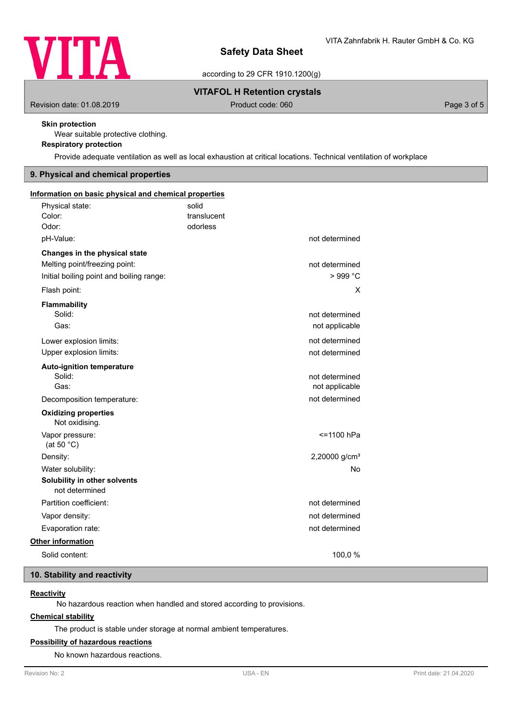

according to 29 CFR 1910.1200(g)

### **VITAFOL H Retention crystals**

Revision date: 01.08.2019 **Product code: 060** Product code: 060 **Page 3 of 5** Page 3 of 5

### **Skin protection**

Wear suitable protective clothing.

# **Respiratory protection**

Provide adequate ventilation as well as local exhaustion at critical locations. Technical ventilation of workplace

### **9. Physical and chemical properties**

| Information on basic physical and chemical properties |             |                           |
|-------------------------------------------------------|-------------|---------------------------|
| Physical state:                                       | solid       |                           |
| Color:                                                | translucent |                           |
| Odor:                                                 | odorless    |                           |
| pH-Value:                                             |             | not determined            |
| Changes in the physical state                         |             |                           |
| Melting point/freezing point:                         |             | not determined            |
| Initial boiling point and boiling range:              |             | > 999 °C                  |
| Flash point:                                          |             | X                         |
| <b>Flammability</b>                                   |             |                           |
| Solid:                                                |             | not determined            |
| Gas:                                                  |             | not applicable            |
| Lower explosion limits:                               |             | not determined            |
| Upper explosion limits:                               |             | not determined            |
| <b>Auto-ignition temperature</b>                      |             |                           |
| Solid:                                                |             | not determined            |
| Gas:                                                  |             | not applicable            |
| Decomposition temperature:                            |             | not determined            |
| <b>Oxidizing properties</b><br>Not oxidising.         |             |                           |
| Vapor pressure:<br>(at 50 $°C$ )                      |             | <=1100 hPa                |
| Density:                                              |             | 2,20000 g/cm <sup>3</sup> |
| Water solubility:                                     |             | No                        |
| Solubility in other solvents<br>not determined        |             |                           |
| Partition coefficient:                                |             | not determined            |
| Vapor density:                                        |             | not determined            |
| Evaporation rate:                                     |             | not determined            |
| <b>Other information</b>                              |             |                           |
| Solid content:                                        |             | 100,0 %                   |
|                                                       |             |                           |

### **10. Stability and reactivity**

### **Reactivity**

No hazardous reaction when handled and stored according to provisions.

### **Chemical stability**

The product is stable under storage at normal ambient temperatures.

### **Possibility of hazardous reactions**

No known hazardous reactions.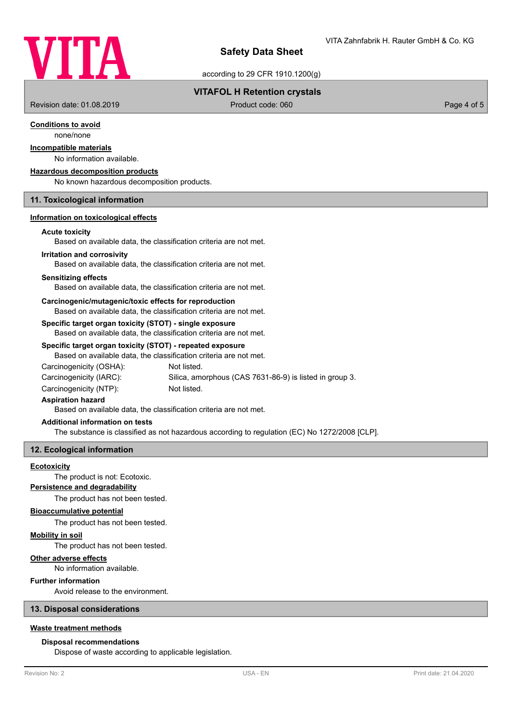

according to 29 CFR 1910.1200(g)

### **VITAFOL H Retention crystals**

Revision date: 01.08.2019 **Product code: 060** Product code: 060 **Page 4 of 5** Page 4 of 5

### **Conditions to avoid**

none/none

### **Incompatible materials**

# No information available.

**Hazardous decomposition products**

No known hazardous decomposition products.

### **11. Toxicological information**

### **Information on toxicological effects**

#### **Acute toxicity**

Based on available data, the classification criteria are not met.

#### **Irritation and corrosivity**

Based on available data, the classification criteria are not met.

#### **Sensitizing effects**

Based on available data, the classification criteria are not met.

#### **Carcinogenic/mutagenic/toxic effects for reproduction**

Based on available data, the classification criteria are not met.

### **Specific target organ toxicity (STOT) - single exposure**

Based on available data, the classification criteria are not met.

#### **Specific target organ toxicity (STOT) - repeated exposure**

| Based on available data, the classification criteria are not met. |                                                         |
|-------------------------------------------------------------------|---------------------------------------------------------|
| Carcinogenicity (OSHA):                                           | Not listed.                                             |
| Carcinogenicity (IARC):                                           | Silica, amorphous (CAS 7631-86-9) is listed in group 3. |
| Carcinogenicity (NTP):                                            | Not listed.                                             |

#### **Aspiration hazard**

Based on available data, the classification criteria are not met.

### **Additional information on tests**

The substance is classified as not hazardous according to regulation (EC) No 1272/2008 [CLP].

### **12. Ecological information**

#### **Ecotoxicity**

The product is not: Ecotoxic.

#### **Persistence and degradability**

The product has not been tested.

#### **Bioaccumulative potential**

The product has not been tested.

#### **Mobility in soil**

The product has not been tested.

#### **Other adverse effects**

No information available.

### **Further information**

Avoid release to the environment.

### **13. Disposal considerations**

### **Waste treatment methods**

#### **Disposal recommendations**

Dispose of waste according to applicable legislation.